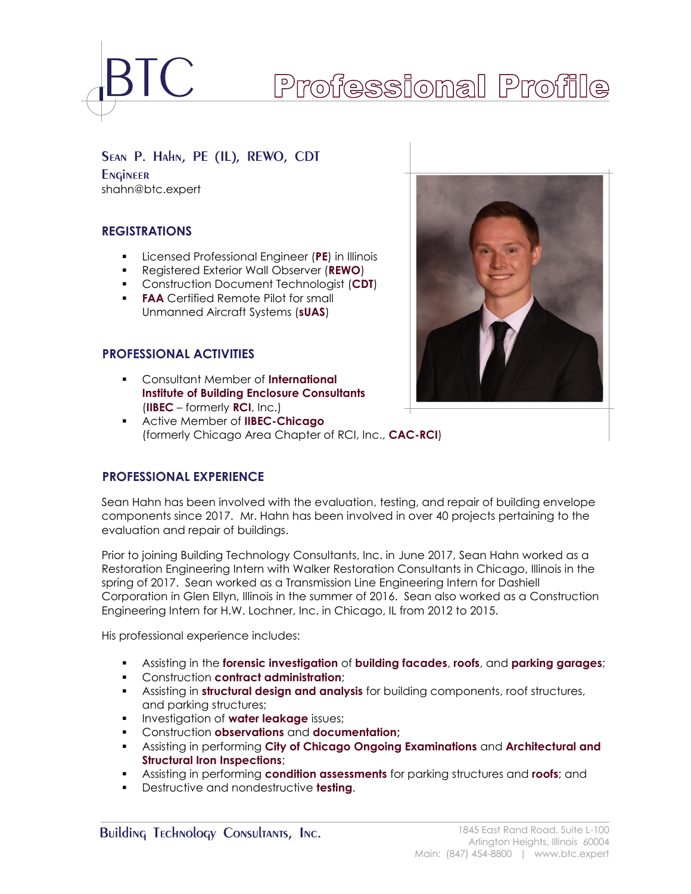

# Professional Profile

# Sean P. Hahn, PE (IL), REWO, CDT

**Engineer** shahn@btc.expert

# **REGISTRATIONS**

- Licensed Professional Engineer (**PE**) in Illinois
- Registered Exterior Wall Observer (**REWO**)
- Construction Document Technologist (**CDT**)
- **FAA** Certified Remote Pilot for small Unmanned Aircraft Systems (**sUAS**)

# **<sup>B</sup>PROFESSIONAL ACTIVITIES**

- Consultant Member of **International Institute of Building Enclosure Consultants**  (**IIBEC** – formerly **RCI**, Inc.)
- Active Member of **IIBEC-Chicago**  (formerly Chicago Area Chapter of RCI, Inc., **CAC-RCI**)



# **<sup>B</sup>PROFESSIONAL EXPERIENCE**

Sean Hahn has been involved with the evaluation, testing, and repair of building envelope components since 2017. Mr. Hahn has been involved in over 40 projects pertaining to the evaluation and repair of buildings.

Prior to joining Building Technology Consultants, Inc. in June 2017, Sean Hahn worked as a Restoration Engineering Intern with Walker Restoration Consultants in Chicago, Illinois in the spring of 2017. Sean worked as a Transmission Line Engineering Intern for Dashiell Corporation in Glen Ellyn, Illinois in the summer of 2016. Sean also worked as a Construction Engineering Intern for H.W. Lochner, Inc. in Chicago, IL from 2012 to 2015.

His professional experience includes:

- Assisting in the **forensic investigation** of **building facades**, **roofs**, and **parking garages**;
- Construction **contract administration**;
- Assisting in **structural design and analysis** for building components, roof structures, and parking structures;
- **<u>■ Investigation of water leakage issues</u>**
- Construction **observations** and **documentation;**
- Assisting in performing **City of Chicago Ongoing Examinations** and **Architectural and Structural Iron Inspections**;
- Assisting in performing **condition assessments** for parking structures and **roofs**; and
- Destructive and nondestructive **testing**.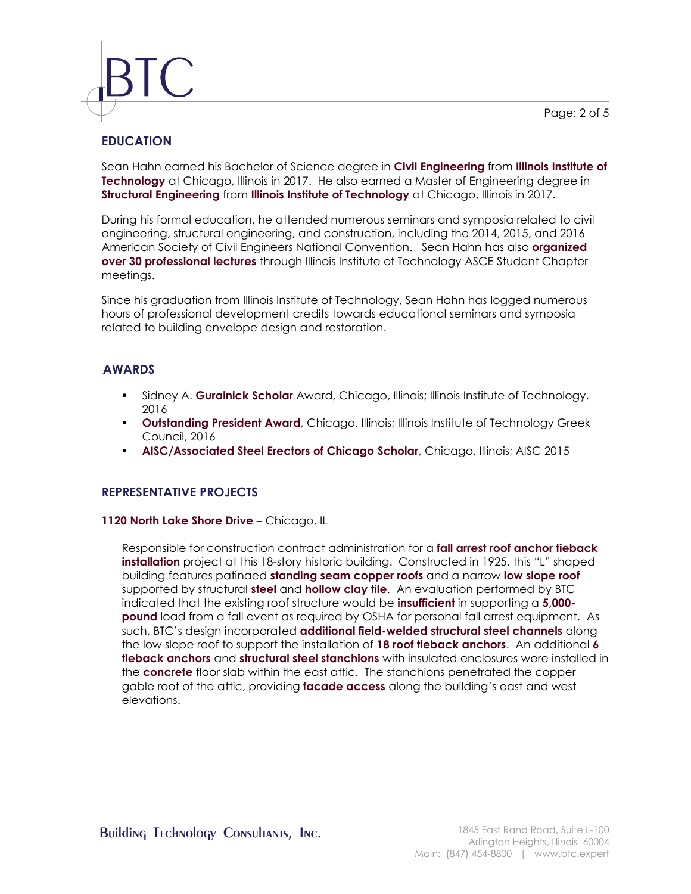Page: 2 of 5



# **EDUCATION**

Sean Hahn earned his Bachelor of Science degree in **Civil Engineering** from **Illinois Institute of Technology** at Chicago, Illinois in 2017. He also earned a Master of Engineering degree in **Structural Engineering** from **Illinois Institute of Technology** at Chicago, Illinois in 2017.

During his formal education, he attended numerous seminars and symposia related to civil engineering, structural engineering, and construction, including the 2014, 2015, and 2016 American Society of Civil Engineers National Convention. Sean Hahn has also **organized over 30 professional lectures** through Illinois Institute of Technology ASCE Student Chapter meetings.

Since his graduation from Illinois Institute of Technology, Sean Hahn has logged numerous hours of professional development credits towards educational seminars and symposia related to building envelope design and restoration.

# **4BAWARDS**

- Sidney A. **Guralnick Scholar** Award, Chicago, Illinois; Illinois Institute of Technology, 2016
- **Outstanding President Award**, Chicago, Illinois; Illinois Institute of Technology Greek Council, 2016
- **AISC/Associated Steel Erectors of Chicago Scholar**, Chicago, Illinois; AISC 2015

# **REPRESENTATIVE PROJECTS**

### **1120 North Lake Shore Drive** – Chicago, IL

Responsible for construction contract administration for a **fall arrest roof anchor tieback installation** project at this 18-story historic building. Constructed in 1925, this "L" shaped building features patinaed **standing seam copper roofs** and a narrow **low slope roof** supported by structural **steel** and **hollow clay tile**. An evaluation performed by BTC indicated that the existing roof structure would be **insufficient** in supporting a **5,000 pound** load from a fall event as required by OSHA for personal fall arrest equipment. As such, BTC's design incorporated **additional field-welded structural steel channels** along the low slope roof to support the installation of **18 roof tieback anchors**. An additional **6 tieback anchors** and **structural steel stanchions** with insulated enclosures were installed in the **concrete** floor slab within the east attic. The stanchions penetrated the copper gable roof of the attic, providing **facade access** along the building's east and west elevations.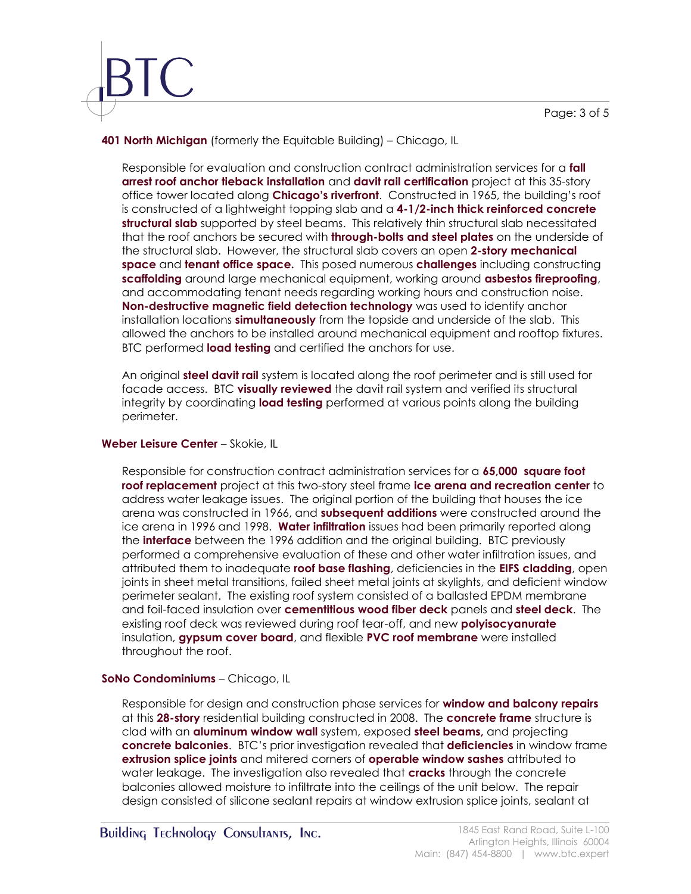### **401 North Michigan** (formerly the Equitable Building) – Chicago, IL

Responsible for evaluation and construction contract administration services for a **fall arrest roof anchor tieback installation** and **davit rail certification** project at this 35-story office tower located along **Chicago's riverfront**. Constructed in 1965, the building's roof is constructed of a lightweight topping slab and a **4-1/2-inch thick reinforced concrete structural slab** supported by steel beams. This relatively thin structural slab necessitated that the roof anchors be secured with **through-bolts and steel plates** on the underside of the structural slab. However, the structural slab covers an open **2-story mechanical space** and **tenant office space.** This posed numerous **challenges** including constructing **scaffolding** around large mechanical equipment, working around **asbestos fireproofing**, and accommodating tenant needs regarding working hours and construction noise. **Non-destructive magnetic field detection technology** was used to identify anchor installation locations **simultaneously** from the topside and underside of the slab. This allowed the anchors to be installed around mechanical equipment and rooftop fixtures. BTC performed **load testing** and certified the anchors for use.

An original **steel davit rail** system is located along the roof perimeter and is still used for facade access. BTC **visually reviewed** the davit rail system and verified its structural integrity by coordinating **load testing** performed at various points along the building perimeter.

### **Weber Leisure Center** – Skokie, IL

Responsible for construction contract administration services for a **65,000 square foot roof replacement** project at this two-story steel frame **ice arena and recreation center** to address water leakage issues. The original portion of the building that houses the ice arena was constructed in 1966, and **subsequent additions** were constructed around the ice arena in 1996 and 1998. **Water infiltration** issues had been primarily reported along the **interface** between the 1996 addition and the original building. BTC previously performed a comprehensive evaluation of these and other water infiltration issues, and attributed them to inadequate **roof base flashing**, deficiencies in the **EIFS cladding**, open joints in sheet metal transitions, failed sheet metal joints at skylights, and deficient window perimeter sealant. The existing roof system consisted of a ballasted EPDM membrane and foil-faced insulation over **cementitious wood fiber deck** panels and **steel deck**. The existing roof deck was reviewed during roof tear-off, and new **polyisocyanurate**  insulation, **gypsum cover board**, and flexible **PVC roof membrane** were installed throughout the roof.

# **SoNo Condominiums** – Chicago, IL

Responsible for design and construction phase services for **window and balcony repairs** at this **28-story** residential building constructed in 2008. The **concrete frame** structure is clad with an **aluminum window wall** system, exposed **steel beams,** and projecting **concrete balconies**. BTC's prior investigation revealed that **deficiencies** in window frame **extrusion splice joints** and mitered corners of **operable window sashes** attributed to water leakage. The investigation also revealed that **cracks** through the concrete balconies allowed moisture to infiltrate into the ceilings of the unit below. The repair design consisted of silicone sealant repairs at window extrusion splice joints, sealant at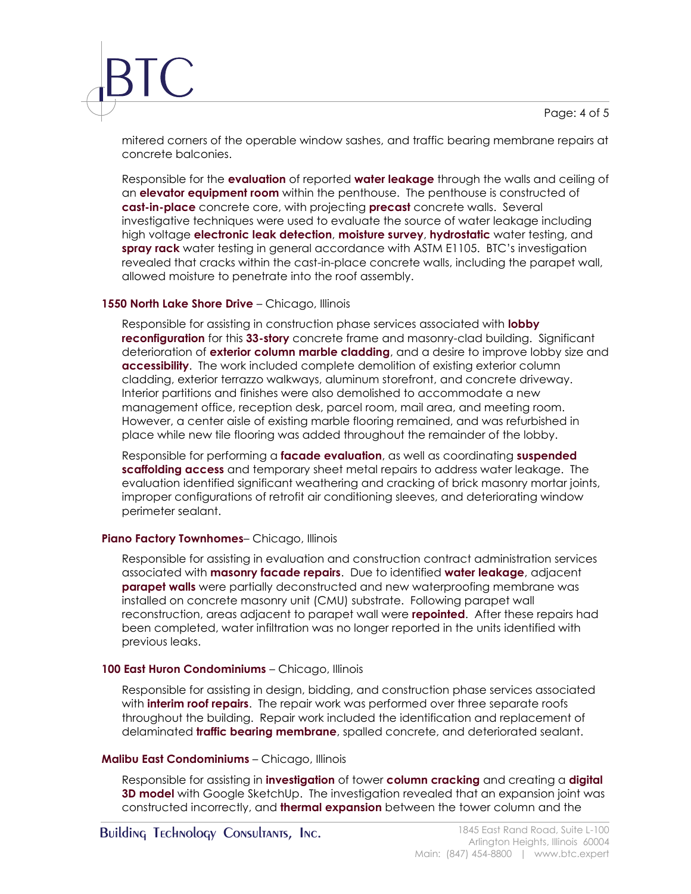Page: 4 of 5

mitered corners of the operable window sashes, and traffic bearing membrane repairs at concrete balconies.

Responsible for the **evaluation** of reported **water leakage** through the walls and ceiling of an **elevator equipment room** within the penthouse. The penthouse is constructed of **cast-in-place** concrete core, with projecting **precast** concrete walls. Several investigative techniques were used to evaluate the source of water leakage including high voltage **electronic leak detection**, **moisture survey**, **hydrostatic** water testing, and **spray rack** water testing in general accordance with ASTM E1105. BTC's investigation revealed that cracks within the cast-in-place concrete walls, including the parapet wall, allowed moisture to penetrate into the roof assembly.

#### **1550 North Lake Shore Drive** – Chicago, Illinois

Responsible for assisting in construction phase services associated with **lobby reconfiguration** for this **33-story** concrete frame and masonry-clad building. Significant deterioration of **exterior column marble cladding**, and a desire to improve lobby size and **accessibility**. The work included complete demolition of existing exterior column cladding, exterior terrazzo walkways, aluminum storefront, and concrete driveway. Interior partitions and finishes were also demolished to accommodate a new management office, reception desk, parcel room, mail area, and meeting room. However, a center aisle of existing marble flooring remained, and was refurbished in place while new tile flooring was added throughout the remainder of the lobby.

Responsible for performing a **facade evaluation**, as well as coordinating **suspended scaffolding access** and temporary sheet metal repairs to address water leakage. The evaluation identified significant weathering and cracking of brick masonry mortar joints, improper configurations of retrofit air conditioning sleeves, and deteriorating window perimeter sealant.

### **Piano Factory Townhomes**– Chicago, Illinois

Responsible for assisting in evaluation and construction contract administration services associated with **masonry facade repairs**. Due to identified **water leakage**, adjacent **parapet walls** were partially deconstructed and new waterproofing membrane was installed on concrete masonry unit (CMU) substrate. Following parapet wall reconstruction, areas adjacent to parapet wall were **repointed**. After these repairs had been completed, water infiltration was no longer reported in the units identified with previous leaks.

### **100 East Huron Condominiums** – Chicago, Illinois

Responsible for assisting in design, bidding, and construction phase services associated with **interim roof repairs**. The repair work was performed over three separate roofs throughout the building. Repair work included the identification and replacement of delaminated **traffic bearing membrane**, spalled concrete, and deteriorated sealant.

### **Malibu East Condominiums** – Chicago, Illinois

Responsible for assisting in **investigation** of tower **column cracking** and creating a **digital 3D model** with Google SketchUp. The investigation revealed that an expansion joint was constructed incorrectly, and **thermal expansion** between the tower column and the